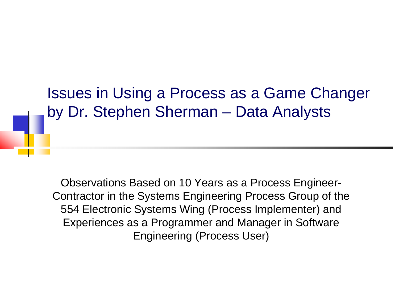Issues in Using a Process as a Game Changer by Dr. Stephen Sherman  $\mathcal{L}_{\mathcal{A}}$  , and the set of the set of the set of the set of the set of the set of the set of the set of the set of the set of the set of the set of the set of the set of the set of the set of the set of the set of th – Data Analysts

Observations Based on 10 Years as a Process Engineer-Contractor in the Systems Engineering Process Group of the 554 Electronic Systems Wing (Process Implementer) and Experiences as a Programmer and Manager in Software Engineering (Process User)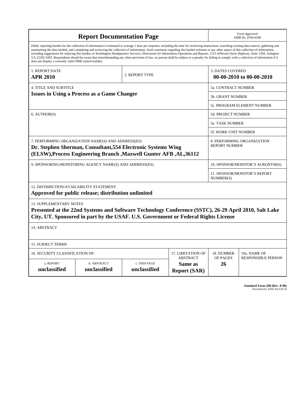| <b>Report Documentation Page</b>                                                                                                                                                                                                                                                                                                                                                                                                                                                                                                                                                                                                                                                                                                                                                                                                                                   |                             |                              |                                                   | Form Approved<br>OMB No. 0704-0188                  |                           |
|--------------------------------------------------------------------------------------------------------------------------------------------------------------------------------------------------------------------------------------------------------------------------------------------------------------------------------------------------------------------------------------------------------------------------------------------------------------------------------------------------------------------------------------------------------------------------------------------------------------------------------------------------------------------------------------------------------------------------------------------------------------------------------------------------------------------------------------------------------------------|-----------------------------|------------------------------|---------------------------------------------------|-----------------------------------------------------|---------------------------|
| Public reporting burden for the collection of information is estimated to average 1 hour per response, including the time for reviewing instructions, searching existing data sources, gathering and<br>maintaining the data needed, and completing and reviewing the collection of information. Send comments regarding this burden estimate or any other aspect of this collection of information,<br>including suggestions for reducing this burden, to Washington Headquarters Services, Directorate for Information Operations and Reports, 1215 Jefferson Davis Highway, Suite 1204, Arlington<br>VA 22202-4302. Respondents should be aware that notwithstanding any other provision of law, no person shall be subject to a penalty for failing to comply with a collection of information if it<br>does not display a currently valid OMB control number. |                             |                              |                                                   |                                                     |                           |
| 1. REPORT DATE<br>2. REPORT TYPE<br><b>APR 2010</b>                                                                                                                                                                                                                                                                                                                                                                                                                                                                                                                                                                                                                                                                                                                                                                                                                |                             |                              |                                                   | <b>3. DATES COVERED</b><br>00-00-2010 to 00-00-2010 |                           |
| <b>4. TITLE AND SUBTITLE</b>                                                                                                                                                                                                                                                                                                                                                                                                                                                                                                                                                                                                                                                                                                                                                                                                                                       |                             |                              |                                                   | 5a. CONTRACT NUMBER                                 |                           |
| <b>Issues in Using a Process as a Game Changer</b>                                                                                                                                                                                                                                                                                                                                                                                                                                                                                                                                                                                                                                                                                                                                                                                                                 |                             |                              |                                                   | <b>5b. GRANT NUMBER</b>                             |                           |
|                                                                                                                                                                                                                                                                                                                                                                                                                                                                                                                                                                                                                                                                                                                                                                                                                                                                    |                             |                              |                                                   | 5c. PROGRAM ELEMENT NUMBER                          |                           |
| 6. AUTHOR(S)                                                                                                                                                                                                                                                                                                                                                                                                                                                                                                                                                                                                                                                                                                                                                                                                                                                       |                             |                              |                                                   | <b>5d. PROJECT NUMBER</b>                           |                           |
|                                                                                                                                                                                                                                                                                                                                                                                                                                                                                                                                                                                                                                                                                                                                                                                                                                                                    |                             |                              |                                                   | 5e. TASK NUMBER                                     |                           |
|                                                                                                                                                                                                                                                                                                                                                                                                                                                                                                                                                                                                                                                                                                                                                                                                                                                                    |                             |                              |                                                   | 5f. WORK UNIT NUMBER                                |                           |
| 7. PERFORMING ORGANIZATION NAME(S) AND ADDRESS(ES)<br>Dr. Stephen Sherman, Consultant, 554 Electronic Systems Wing<br>(ELSW), Process Engineering Branch, Maxwell Gunter AFB, AL, 36112                                                                                                                                                                                                                                                                                                                                                                                                                                                                                                                                                                                                                                                                            |                             |                              |                                                   | 8. PERFORMING ORGANIZATION<br><b>REPORT NUMBER</b>  |                           |
| 9. SPONSORING/MONITORING AGENCY NAME(S) AND ADDRESS(ES)                                                                                                                                                                                                                                                                                                                                                                                                                                                                                                                                                                                                                                                                                                                                                                                                            |                             |                              |                                                   | 10. SPONSOR/MONITOR'S ACRONYM(S)                    |                           |
|                                                                                                                                                                                                                                                                                                                                                                                                                                                                                                                                                                                                                                                                                                                                                                                                                                                                    |                             |                              |                                                   | 11. SPONSOR/MONITOR'S REPORT<br>NUMBER(S)           |                           |
| 12. DISTRIBUTION/AVAILABILITY STATEMENT<br>Approved for public release; distribution unlimited                                                                                                                                                                                                                                                                                                                                                                                                                                                                                                                                                                                                                                                                                                                                                                     |                             |                              |                                                   |                                                     |                           |
| <b>13. SUPPLEMENTARY NOTES</b><br>Presented at the 22nd Systems and Software Technology Conference (SSTC), 26-29 April 2010, Salt Lake<br>City, UT. Sponsored in part by the USAF. U.S. Government or Federal Rights License                                                                                                                                                                                                                                                                                                                                                                                                                                                                                                                                                                                                                                       |                             |                              |                                                   |                                                     |                           |
| 14. ABSTRACT                                                                                                                                                                                                                                                                                                                                                                                                                                                                                                                                                                                                                                                                                                                                                                                                                                                       |                             |                              |                                                   |                                                     |                           |
| <b>15. SUBJECT TERMS</b>                                                                                                                                                                                                                                                                                                                                                                                                                                                                                                                                                                                                                                                                                                                                                                                                                                           |                             |                              |                                                   |                                                     |                           |
| 16. SECURITY CLASSIFICATION OF:<br>17. LIMITATION OF                                                                                                                                                                                                                                                                                                                                                                                                                                                                                                                                                                                                                                                                                                                                                                                                               |                             |                              |                                                   | 18. NUMBER                                          | 19a. NAME OF              |
| a. REPORT<br>unclassified                                                                                                                                                                                                                                                                                                                                                                                                                                                                                                                                                                                                                                                                                                                                                                                                                                          | b. ABSTRACT<br>unclassified | c. THIS PAGE<br>unclassified | <b>ABSTRACT</b><br>Same as<br><b>Report (SAR)</b> | OF PAGES<br>26                                      | <b>RESPONSIBLE PERSON</b> |

**Standard Form 298 (Rev. 8-98)**<br>Prescribed by ANSI Std Z39-18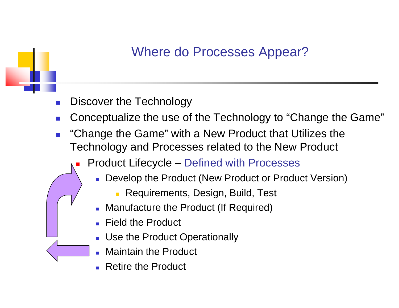#### Where do Processes Appear?

- P. Discover the Technology
- P. ■ Conceptualize the use of the Technology to "Change the Game"
- P. "Change the Game" with a New Product that Utilizes the Technology and Processes related to the New Product
	- L Product Lifecycle – Defined with Processes
		- Develop the Product (New Product or Product Version)
			- $\mathbf{r}$ Requirements, Design, Build, Test
		- Manufacture the Product (If Required)
		- Field the Product
		- **Dumble Product Operationally**
		- E Maintain the Product
		- Retire the Product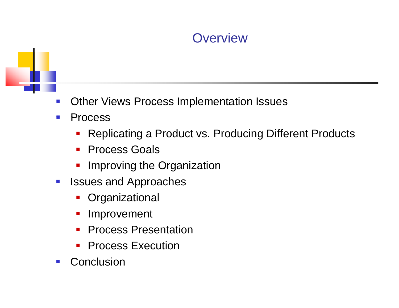#### **Overview**



- $\mathcal{L}_{\mathcal{A}}$ Other Views Process Implementation Issues
- $\mathcal{L}_{\mathcal{A}}$  Process
	- $\mathcal{L}_{\mathcal{A}}$ Replicating a Product vs. Producing Different Products
	- **Process Goals**
	- Improving the Organization
- $\mathcal{L}_{\mathcal{A}}$  Issues and Approaches
	- $\mathcal{L}_{\mathcal{A}}$ **Organizational**
	- $\mathcal{L}_{\mathcal{A}}$ Improvement
	- $\overline{\mathcal{L}}$ Process Presentation
	- $\mathcal{L}_{\mathcal{A}}$ Process Execution
- $\mathcal{L}^{\text{max}}$ **Conclusion**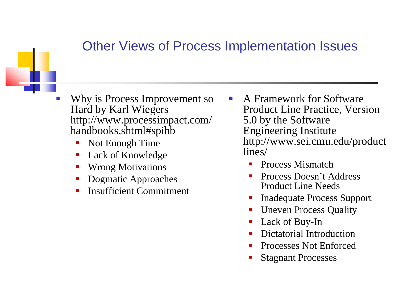### Other Views of Process Implementation Issues

- P) Why is Process Improvement so Hard by Karl Wiegers http://www.processimpact.com/ handbooks.shtml#spihb
	- Not Enough Time
	- k. • Lack of Knowledge
	- T. Wrong Motivations
	- b. Dogmatic Approaches
	- k. Insufficient Commitment
- A Framework for Software Product Line Practice, Version impact.com/ 5.0 by the Software Engineering Institute http://www.sei.cmu.edu/product lines/
	- Ŧ Process Mismatch
	- **Service Service**  Process Doesn't Address Product Line Needs
	- Ŧ Inadequate Process Support
	- **Service Service** Uneven Process Quality
	- Ŧ Lack of Buy-In
	- **Service Service** Dictatorial Introduction
	- **Contract Contract Contract Contract Contract Contract Contract Contract Contract Contract Contract Contract Co** Processes Not Enforced
	- Ŧ Stagnant Processes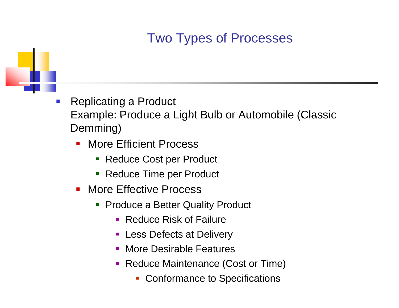# Two Types of Processes



- $\mathbb{R}^n$  Replicating a Product Example: Produce <sup>a</sup> Light Bulb or Automobile (Classic Demming)
	- $\mathcal{L}_{\mathcal{A}}$  More Efficient Process
		- Reduce Cost per Product
		- **Service Service** Reduce Time per Product
	- **More Effective Process** 
		- **Produce a Better Quality Product** 
			- Reduce Risk of Failure
			- **Less Defects at Delivery**
			- **More Desirable Features**
			- Reduce Maintenance (Cost or Time)
				- $\overline{\phantom{a}}$ Conformance to Specifications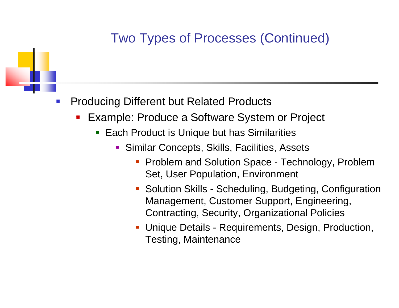# Two Types of Processes (Continued)

- $\mathcal{C}_{\mathcal{A}}$  Producing Different but Related Products
	- a<br>M **Example: Produce a Software System or Project** 
		- Each Product is Unique but has Similarities
			- **Similar Concepts, Skills, Facilities, Assets** 
				- **Problem and Solution Space Technology, Problem** Set, User Population, Environment
				- **Solution Skills -**- Scheduling, Budgeting, Configuration Management, Customer Support, Engineering, Contracting, Security, Organizational Policies
				- $\mathcal{L}_{\mathcal{A}}$ **- Unique Details - Requirements, Design, Production,** Testing, Maintenance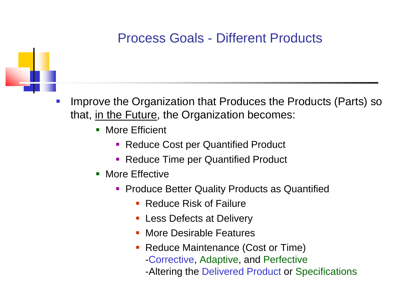#### Process Goals - Different Products



- P) Improve the Organization that Produces the Products (Parts) so that, in the Future, the Organization becomes:
	- **More Efficient** 
		- Reduce Cost per Quantified Product
		- **Reduce Time per Quantified Product**
	- **More Effective** 
		- **Produce Better Quality Products as Quantified** 
			- **Reduce Risk of Failure**
			- $\blacksquare$ Less Defects at Delivery
			- $\blacksquare$ More Desirable Features
			- **Reduce Maintenance (Cost or Time)** 
				- -Corrective, Adaptive, and Perfective
				- -Altering the Delivered Product or Specifications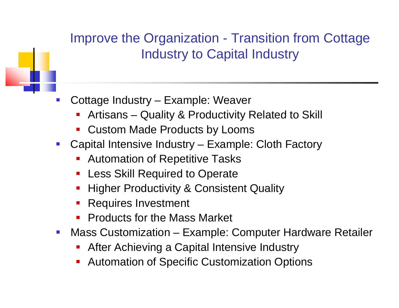#### Improve the Organization -- Transition from Cottage Industry to Capital Industry

- P) Cottage Industry – Example: Weaver
	- F. ■ Artisans – Quality & Productivity Related to Skill
	- $\mathcal{L}_{\mathcal{A}}$ Custom Made Products by Looms
- $\mathcal{L}^{\mathcal{A}}$  Capital Intensive Industry – Example: Cloth Factory
	- $\overline{\phantom{a}}$ Automation of Repetitive Tasks
	- a<br>M Less Skill Required to Operate
	- a<br>M **Higher Productivity & Consistent Quality**
	- $\blacksquare$ Requires Investment
	- a<br>M Products for the Mass Market
- $\mathcal{L}_{\mathcal{A}}$ • Mass Customization – – Example: Computer Hardware Retailer
	- a<br>M After Achieving a Capital Intensive Industry
	- **Service Service** Automation of Specific Customization Options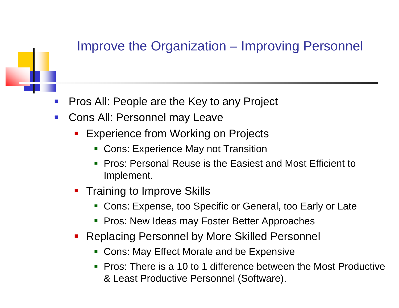#### Improve the Organization – Improving Personnel

- $\mathcal{C}_{\mathcal{A}}$ Pros All: People are the Key to any Project
- $\mathcal{L}_{\mathcal{A}}$ Cons All: Personnel may Leave
	- a<br>M Experience from Working on Projects
		- Cons: Experience May not Transition
		- Pros: Personal Reuse is the Easiest and Most Efficient to Implement.
	- **Training to Improve Skills** 
		- Cons: Expense, too Specific or General, too Early or Late
		- Pros: New Ideas may Foster Better Approaches
	- **Replacing Personnel by More Skilled Personnel** 
		- Cons: May Effect Morale and be Expensive
		- Pros: There is a 10 to 1 difference between the Most Productive 1the contract of the contract of the contract of the contract of the contract of & Least Productive Personnel (Software).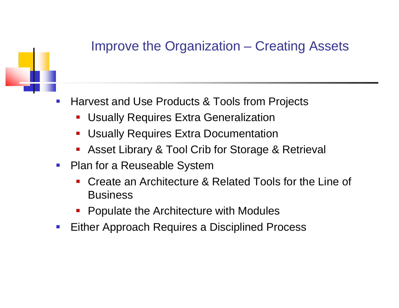#### Improve the Organization  $\mathcal{L}_{\mathcal{A}}$  , and the set of  $\mathcal{L}_{\mathcal{A}}$ - Creating Assets



- $\mathcal{C}_{\mathcal{A}}$  Harvest and Use Products & Tools from Projects
	- $\blacksquare$ Usually Requires Extra Generalization
	- $\mathcal{L}_{\mathcal{A}}$ Usually Requires Extra Documentation
	- $\mathcal{L}_{\mathcal{A}}$ **-** Asset Library & Tool Crib for Storage & Retrieval
- $\mathcal{L}_{\mathcal{A}}$  Plan for a Reuseable System
	- $\mathcal{L}_{\mathcal{A}}$  Create an Architecture & Related Tools for the Line of Business
	- $\blacksquare$ Populate the Architecture with Modules
- $\mathcal{L}_{\mathcal{A}}$ **Either Approach Requires a Disciplined Process**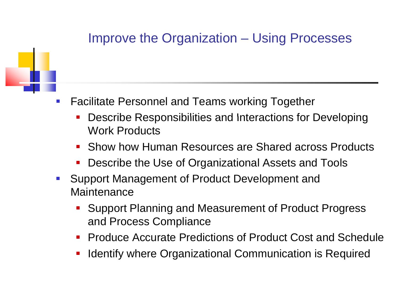#### Improve the Organization  $\mathcal{L}_{\mathcal{A}}$  , and the set of  $\mathcal{L}_{\mathcal{A}}$ Using Processes



- $\mathcal{L}_{\mathcal{A}}$  Facilitate Personnel and Teams working Together
	- a<br>M Describe Responsibilities and Interactions for Developing Work Products
	- Show how Human Resources are Shared across Products
	- an<br>Ma Describe the Use of Organizational Assets and Tools
- **Support Management of Product Development and Maintenance** 
	- $\mathcal{L}_{\mathcal{A}}$  Support Planning and Measurement of Product Progress and Process Compliance
	- an<br>Ma Produce Accurate Predictions of Product Cost and Schedule
	- $\blacksquare$ Identify where Organizational Communication is Required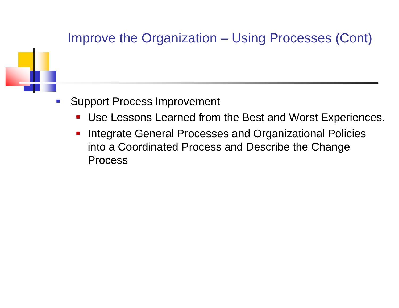#### Improve the Organization Using Processes (Cont)



- $\mathbb{R}^n$  Support Process Improvement
	- $\overline{\phantom{a}}$ Use Lessons Learned from the Best and Worst Experiences.
	- $\blacksquare$  Integrate General Processes and Organizational Policies into a Coordinated Process and Describe the Change Process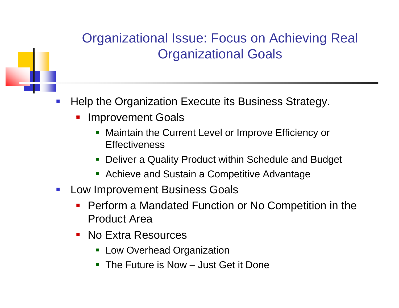# **Organizational Issue: Focus on Achieving Real** Organizational Goals

- $\mathbb{R}^n$  Help the Organization Execute its Business Strategy.
	- a<br>M Improvement Goals
		- $\blacksquare$  Maintain the Current Level or Improve Efficiency or **Effectiveness**
		- Deliver a Quality Product within Schedule and Budget
		- **Achieve and Sustain a Competitive Advantage**
- $\mathbb{R}^3$  Low Improvement Business Goals
	- an<br>Ma Perform a Mandated Function or No Competition in the Product Area
	- No Extra Resources
		- **Example Low Overhead Organization**
		- The Future is Now Just Get it Done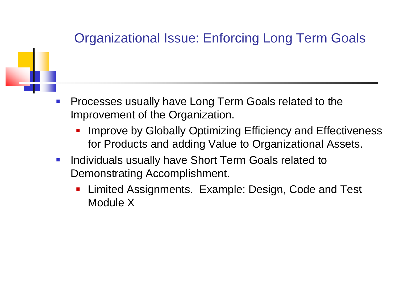# Organizational Issue: Enforcing Long Term Goals

- $\mathcal{C}_{\mathcal{A}}$  Processes usually have Long Term Goals related to the Improvement of the Organization.
	- $\mathcal{L}_{\mathcal{A}}$  Improve by Globally Optimizing Efficiency and Effectiveness for Products and adding Value to Organizational Assets.
	- $\mathcal{L}_{\mathcal{A}}$  Individuals usually have Short Term Goals related to Demonstrating Accomplishment.
		- Limited Assignments. Example: Design, Code and Test Module X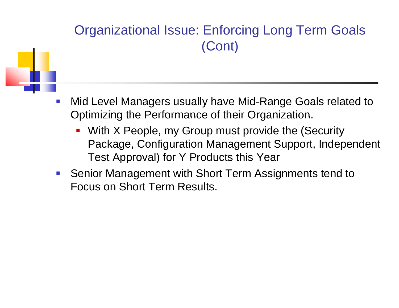# Organizational Issue: Enforcing Long Term Goals (Cont)

- - $\mathcal{L}_{\mathcal{A}}$  Mid Level Managers usually have Mid-Range Goals related to Optimizing the Performance of their Organization.
		- $\mathcal{L}_{\mathcal{A}}$  With X People, my Group must provide the (Security Package, Configuration Management Support, Independent Test Approval) for Y Products this Year
	- $\mathcal{L}_{\mathcal{A}}$  Senior Management with Short Term Assignments tend to Focus on Short Term Results.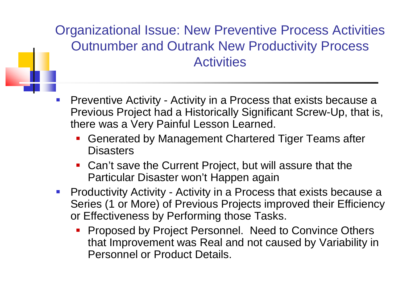## Organizational Issue: New Preventive Process Activities Outnumber and Outrank New Productivity Process **Activities**

- P) Preventive Activity - Activity in a Process that exists because a Previous Project had a Historically Significant Screw-Up, that is, there was a Very Painful Lesson Learned.
	- an<br>Ma Generated by Management Chartered Tiger Teams after **Disasters**
	- Can't save the Current Project, but will assure that the Particular Disaster won't Happen again
- Productivity Activity Activity in a Process that exists because a Series (1 or More) of Previous Projects improved their Efficiency or Effectiveness by Performing those Tasks.
	- a<br>M • Proposed by Project Personnel. Need to Convince Others that Improvement was Real and not caused by Variability in Personnel or Product Details.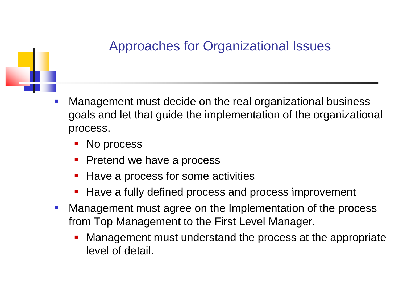### Approaches for Organizational Issues



- $\mathcal{C}$  Management must decide on the real organizational business goals and let that guide the implementation of the organizational process.
	- No process
	- a<br>M Pretend we have a process
	- a<br>M Have a process for some activities
	- a<br>M ■ Have a fully defined process and process improvement
- $\mathcal{L}_{\mathcal{A}}$  Management must agree on the Implementation of the process from Top Management to the First Level Manager.
	- Management must understand the process at the appropriate level of detail.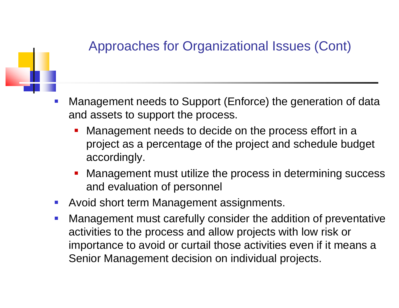# Approaches for Organizational Issues (Cont)

- - $\mathbb{R}^n$  Management needs to Support (Enforce) the generation of data and assets to support the process.
		- Management needs to decide on the process effort in a project as a percentage of the project and schedule budget accordingly.
		- Management must utilize the process in determining success and evaluation of personnel
	- $\mathcal{L}_{\mathcal{A}}$ Avoid short term Management assignments.
	- $\mathcal{L}_{\mathcal{A}}$  Management must carefully consider the addition of preventative activities to the process and allow projects with low risk or importance to avoid or curtail those activities even if it means a Senior Management decision on individual projects.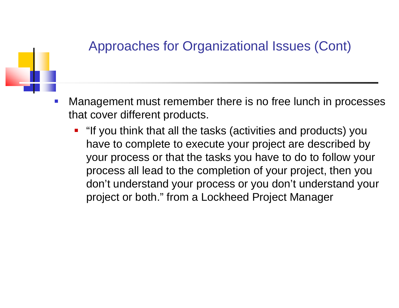### Approaches for Organizational Issues (Cont)



- $\mathcal{C}$  Management must remember there is no free lunch in processes that cover different products.
	- **.** "If you think that all the tasks (activities and products) you have to complete to execute your project are described by your process or that the tasks you have to do to follow your process all lead to the completion of your project, then you don't understand your process or you don't understand your project or both." from a Lockheed Project Manager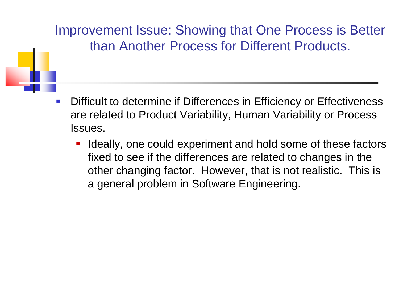Improvement Issue: Showing that One Process is Better than Another Process for Different Products.

- $\mathcal{L}_{\mathcal{A}}$  Difficult to determine if Differences in Efficiency or Effectiveness are related to Product Variability, Human Variability or Process Issues.
	- P. Ideally, one could experiment and hold some of these factors fixed to see if the differences are related to changes in the other changing factor. However, that is not realistic. This is a general problem in Software Engineering.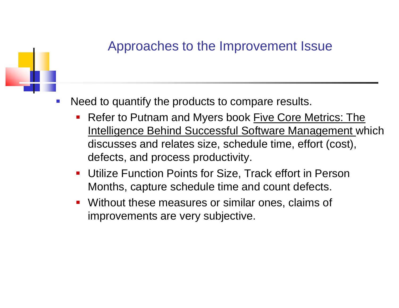#### Approaches to the Improvement Issue



- $\mathbb{R}^n$  Need to quantify the products to compare results.
	- Refer to Putnam and Myers book Five Core Metrics: The Intelligence Behind Successful Software Management which discusses and relates size, schedule time, effort (cost), defects, and process productivity.
	- $\mathcal{L}_{\mathcal{A}}$  Utilize Function Points for Size, Track effort in Person Months, capture schedule time and count defects.
	- $\overline{\phantom{a}}$  Without these measures or similar ones, claims of improvements are very subjective.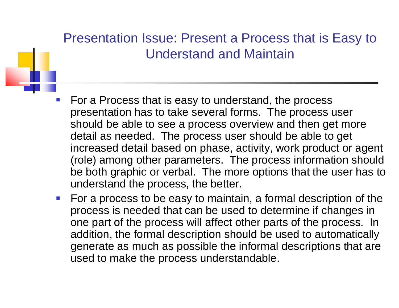# Presentation Issue: Present a Process that is Easy to Understand and Maintain

- P) For a Process that is easy to understand, the process presentation has to take several forms. The process user should be able to see a process overview and then get more detail as needed. The process user should be able to get increased detail based on phase, activity, work product or agent (role) among other parameters. The process information should be both graphic or verbal. The more options that the user has to understand the process, the better.
- $\mathcal{L}_{\mathcal{A}}$  For a process to be easy to maintain, a formal description of the process is needed that can be used to determine if changes in one part of the process will affect other parts of the process. In addition, the formal description should be used to automatically generate as much as possible the informal descriptions that are used to make the process understandable.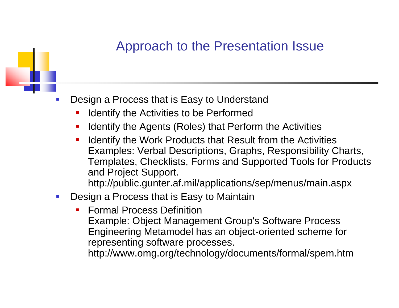#### Approach to the Presentation Issue



- Design a Process that is Easy to Understand
	- k. ■ Identify the Activities to be Performed
	- $\blacksquare$ Identify the Agents (Roles) that Perform the Activities
	- $\blacksquare$  Identify the Work Products that Result from the Activities Examples: Verbal Descriptions, Graphs, Responsibility Charts, Templates, Checklists, Forms and Supported Tools for Products and Project Support.

http://public.gunter.af.mil/applications/sep/menus/main.aspx

- $\mathcal{L}_{\mathcal{A}}$  Design a Process that is Easy to Maintain
	- b. Formal Process DefinitionExample: Object Management Group's Software Process Engineering Metamodel has an object-oriented scheme for representing software processes. http://www.omg.org/technology/documents/formal/spem.htm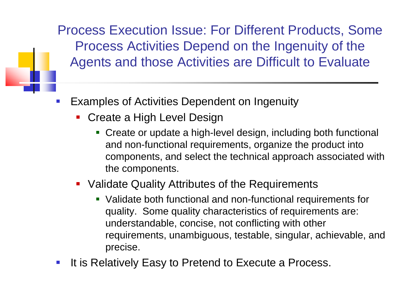Process Execution Issue: For Different Products, Some Process Activities Depend on the Ingenuity of the Agents and those Activities are Difficult to Evaluate

- $\mathcal{C}_{\mathcal{A}}$  Examples of Activities Dependent on Ingenuity
	- a<br>M **Create a High Level Design** 
		- Create or update a high-level design, including both functional and non-functional requirements, organize the product into components, and select the technical approach associated with the components.
	- **Validate Quality Attributes of the Requirements** 
		- Validate both functional and non-functional requirements for quality. Some quality characteristics of requirements are: understandable, concise, not conflictin g with other requirements, unambiguous, testable, singular, achievable, and precise.
- $\mathbb{R}^n$ It is Relatively Easy to Pretend to Execute a Process.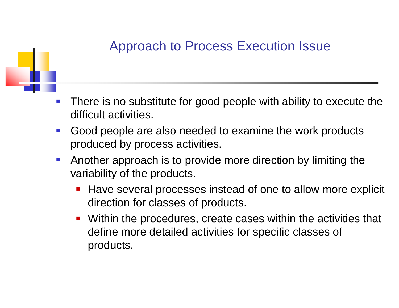#### Approach to Process Execution Issue



- $\mathcal{C}_{\mathcal{A}}$  There is no substitute for good people with ability to execute the difficult activities.
- $\mathcal{L}_{\mathcal{A}}$  Good people are also needed to examine the work products produced by process activities.
- $\mathcal{L}_{\mathcal{A}}$  Another approach is to provide more direction by limiting the variability of the products.
	- Have several processes instead of one to allow more explicit direction for classes of products.
	- $\mathcal{L}_{\mathcal{A}}$  Within the procedures, create cases within the activities that define more detailed activities for specific classes of products.